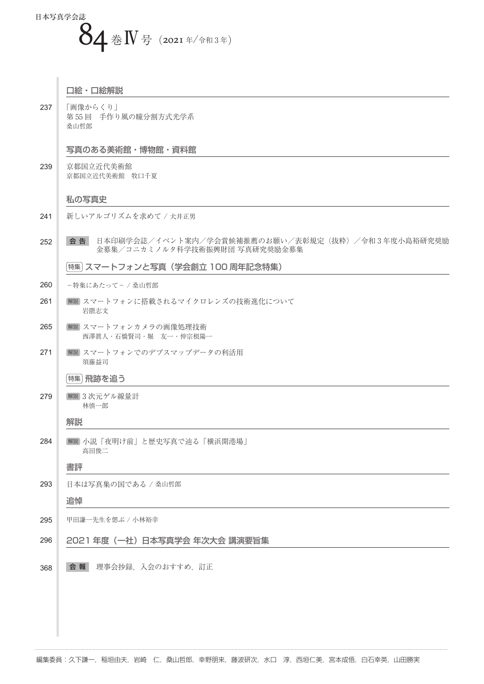

#### 口絵・口絵解説

237 「画像からくり」 第 55 回 手作り風の瞳分割方式光学系 桑山哲郎

# 写真のある美術館・博物館・資料館

239 京都国立近代美術館 京都国立近代美術館 牧口千夏

#### 私の写真史

- 241 新しいアルゴリズムを求めて / 犬井正男
- 252 全 告 日本印刷学会誌/イベント案内/学会賞候補推薦のお願い/表彰規定(抜粋) /令和 3 年度小島裕研究奨励 金募集/コニカミノルタ科学技術振興財団 写真研究奨励金募集

特集 スマートフォンと写真(学会創立 100 周年記念特集)

- 260 -特集にあたって- / 桑山哲郎
- 261 解説 スマートフォンに搭載されるマイクロレンズの技術進化について 岩隈志文
- 265 解説 スマートフォンカメラの画像処理技術 西澤眞人・石橋賢司・堀 友一・仲宗根陽一
- 271 解説 スマートフォンでのデプスマップデータの利活用 須藤益司

# 特集 飛跡を追う

279 解説 3 次元ゲル線量計 林慎一郎

## 解説

284 解説 小説「夜明け前」と歴史写真で辿る「横浜開港場」 高田俊二

## 書評

293 日本は写真集の国である / 桑山哲郎

## 追悼

- 295 甲田謙一先生を偲ぶ / 小林裕幸
- 296 2021 年度(一社)日本写真学会 年次大会 講演要旨集
- 368 会報 理事会抄録, 入会のおすすめ, 訂正